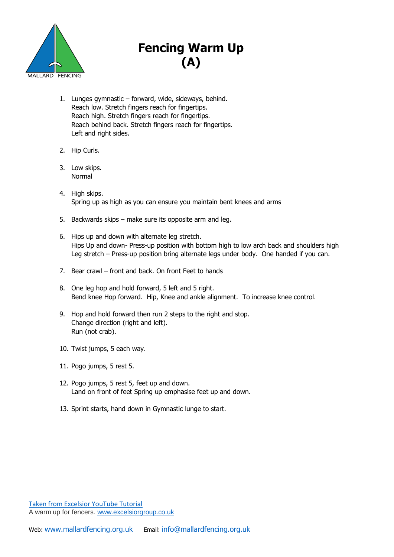

## **Fencing Warm Up (A)**

- 1. Lunges gymnastic forward, wide, sideways, behind. Reach low. Stretch fingers reach for fingertips. Reach high. Stretch fingers reach for fingertips. Reach behind back. Stretch fingers reach for fingertips. Left and right sides.
- 2. Hip Curls.
- 3. Low skips. Normal
- 4. High skips. Spring up as high as you can ensure you maintain bent knees and arms
- 5. Backwards skips make sure its opposite arm and leg.
- 6. Hips up and down with alternate leg stretch. Hips Up and down- Press-up position with bottom high to low arch back and shoulders high Leg stretch – Press-up position bring alternate legs under body. One handed if you can.
- 7. Bear crawl front and back. On front Feet to hands
- 8. One leg hop and hold forward, 5 left and 5 right. Bend knee Hop forward. Hip, Knee and ankle alignment. To increase knee control.
- 9. Hop and hold forward then run 2 steps to the right and stop. Change direction (right and left). Run (not crab).
- 10. Twist jumps, 5 each way.
- 11. Pogo jumps, 5 rest 5.
- 12. Pogo jumps, 5 rest 5, feet up and down. Land on front of feet Spring up emphasise feet up and down.
- 13. Sprint starts, hand down in Gymnastic lunge to start.

[Taken from Excelsior YouTube Tutorial](https://www.youtube.com/watch?v=CcYYPNkBuHM) A warm up for fencers. [www.excelsiorgroup.co.uk](http://www.excelsiorgroup.co.uk/)